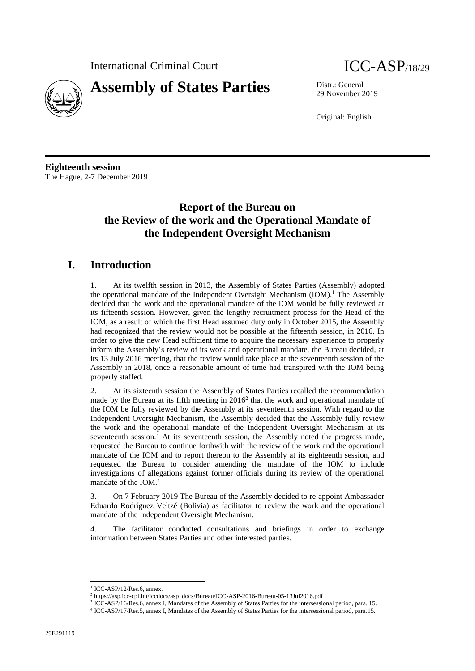



29 November 2019

Original: English

**Eighteenth session** The Hague, 2-7 December 2019

# **Report of the Bureau on the Review of the work and the Operational Mandate of the Independent Oversight Mechanism**

## **I. Introduction**

1. At its twelfth session in 2013, the Assembly of States Parties (Assembly) adopted the operational mandate of the Independent Oversight Mechanism  $(IOM).<sup>1</sup>$  The Assembly decided that the work and the operational mandate of the IOM would be fully reviewed at its fifteenth session. However, given the lengthy recruitment process for the Head of the IOM, as a result of which the first Head assumed duty only in October 2015, the Assembly had recognized that the review would not be possible at the fifteenth session, in 2016. In order to give the new Head sufficient time to acquire the necessary experience to properly inform the Assembly's review of its work and operational mandate, the Bureau decided, at its 13 July 2016 meeting, that the review would take place at the seventeenth session of the Assembly in 2018, once a reasonable amount of time had transpired with the IOM being properly staffed.

2. At its sixteenth session the Assembly of States Parties recalled the recommendation made by the Bureau at its fifth meeting in 2016<sup>2</sup> that the work and operational mandate of the IOM be fully reviewed by the Assembly at its seventeenth session. With regard to the Independent Oversight Mechanism, the Assembly decided that the Assembly fully review the work and the operational mandate of the Independent Oversight Mechanism at its seventeenth session. $3$  At its seventeenth session, the Assembly noted the progress made, requested the Bureau to continue forthwith with the review of the work and the operational mandate of the IOM and to report thereon to the Assembly at its eighteenth session, and requested the Bureau to consider amending the mandate of the IOM to include investigations of allegations against former officials during its review of the operational mandate of the IOM. 4

3. On 7 February 2019 The Bureau of the Assembly decided to re-appoint Ambassador Eduardo Rodríguez Veltzé (Bolivia) as facilitator to review the work and the operational mandate of the Independent Oversight Mechanism.

4. The facilitator conducted consultations and briefings in order to exchange information between States Parties and other interested parties.

<sup>1</sup> ICC-ASP/12/Res.6, annex.

<sup>2</sup> [https://asp.icc-cpi.int/iccdocs/asp\\_docs/Bureau/ICC-ASP-2016-Bureau-05-13Jul2016.pdf](https://asp.icc-cpi.int/iccdocs/asp_docs/Bureau/ICC-ASP-2016-Bureau-05-13Jul2016.pdf)

<sup>3</sup> ICC-ASP/16/Res.6, annex I, Mandates of the Assembly of States Parties for the intersessional period, para. 15.

<sup>4</sup> ICC-ASP/17/Res.5, annex I, Mandates of the Assembly of States Parties for the intersessional period, para.15.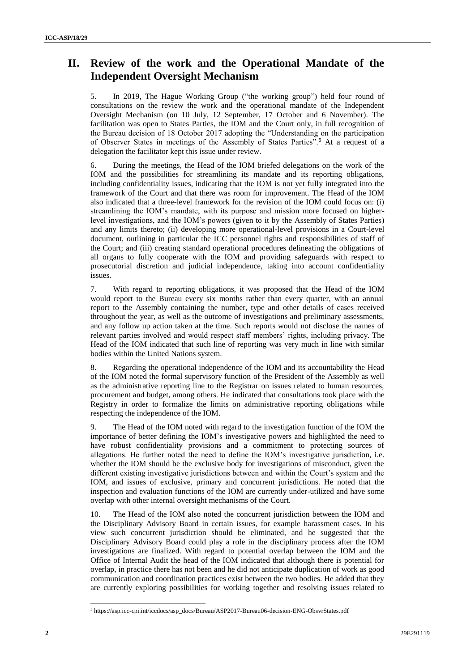# **II. Review of the work and the Operational Mandate of the Independent Oversight Mechanism**

5. In 2019, The Hague Working Group ("the working group") held four round of consultations on the review the work and the operational mandate of the Independent Oversight Mechanism (on 10 July, 12 September, 17 October and 6 November). The facilitation was open to States Parties, the IOM and the Court only, in full recognition of the Bureau decision of 18 October 2017 adopting the "Understanding on the participation of Observer States in meetings of the Assembly of States Parties".<sup>5</sup> At a request of a delegation the facilitator kept this issue under review.

6. During the meetings, the Head of the IOM briefed delegations on the work of the IOM and the possibilities for streamlining its mandate and its reporting obligations, including confidentiality issues, indicating that the IOM is not yet fully integrated into the framework of the Court and that there was room for improvement. The Head of the IOM also indicated that a three-level framework for the revision of the IOM could focus on: (i) streamlining the IOM's mandate, with its purpose and mission more focused on higherlevel investigations, and the IOM's powers (given to it by the Assembly of States Parties) and any limits thereto; (ii) developing more operational-level provisions in a Court-level document, outlining in particular the ICC personnel rights and responsibilities of staff of the Court; and (iii) creating standard operational procedures delineating the obligations of all organs to fully cooperate with the IOM and providing safeguards with respect to prosecutorial discretion and judicial independence, taking into account confidentiality issues.

7. With regard to reporting obligations, it was proposed that the Head of the IOM would report to the Bureau every six months rather than every quarter, with an annual report to the Assembly containing the number, type and other details of cases received throughout the year, as well as the outcome of investigations and preliminary assessments, and any follow up action taken at the time. Such reports would not disclose the names of relevant parties involved and would respect staff members' rights, including privacy. The Head of the IOM indicated that such line of reporting was very much in line with similar bodies within the United Nations system.

8. Regarding the operational independence of the IOM and its accountability the Head of the IOM noted the formal supervisory function of the President of the Assembly as well as the administrative reporting line to the Registrar on issues related to human resources, procurement and budget, among others. He indicated that consultations took place with the Registry in order to formalize the limits on administrative reporting obligations while respecting the independence of the IOM.

9. The Head of the IOM noted with regard to the investigation function of the IOM the importance of better defining the IOM's investigative powers and highlighted the need to have robust confidentiality provisions and a commitment to protecting sources of allegations. He further noted the need to define the IOM's investigative jurisdiction, i.e. whether the IOM should be the exclusive body for investigations of misconduct, given the different existing investigative jurisdictions between and within the Court's system and the IOM, and issues of exclusive, primary and concurrent jurisdictions. He noted that the inspection and evaluation functions of the IOM are currently under-utilized and have some overlap with other internal oversight mechanisms of the Court.

10. The Head of the IOM also noted the concurrent jurisdiction between the IOM and the Disciplinary Advisory Board in certain issues, for example harassment cases. In his view such concurrent jurisdiction should be eliminated, and he suggested that the Disciplinary Advisory Board could play a role in the disciplinary process after the IOM investigations are finalized. With regard to potential overlap between the IOM and the Office of Internal Audit the head of the IOM indicated that although there is potential for overlap, in practice there has not been and he did not anticipate duplication of work as good communication and coordination practices exist between the two bodies. He added that they are currently exploring possibilities for working together and resolving issues related to

 $\overline{a}$ 

<sup>5</sup> https://asp.icc-cpi.int/iccdocs/asp\_docs/Bureau/ASP2017-Bureau06-decision-ENG-ObsvrStates.pdf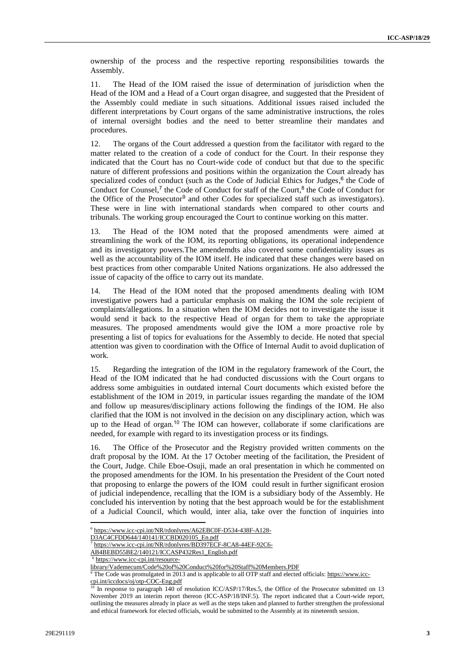ownership of the process and the respective reporting responsibilities towards the Assembly.

11. The Head of the IOM raised the issue of determination of jurisdiction when the Head of the IOM and a Head of a Court organ disagree, and suggested that the President of the Assembly could mediate in such situations. Additional issues raised included the different interpretations by Court organs of the same administrative instructions, the roles of internal oversight bodies and the need to better streamline their mandates and procedures.

12. The organs of the Court addressed a question from the facilitator with regard to the matter related to the creation of a code of conduct for the Court. In their response they indicated that the Court has no Court-wide code of conduct but that due to the specific nature of different professions and positions within the organization the Court already has specialized codes of conduct (such as the Code of Judicial Ethics for Judges,<sup>6</sup> the Code of Conduct for Counsel,<sup>7</sup> the Code of Conduct for staff of the Court,<sup>8</sup> the Code of Conduct for the Office of the Prosecutor<sup>9</sup> and other Codes for specialized staff such as investigators). These were in line with international standards when compared to other courts and tribunals. The working group encouraged the Court to continue working on this matter.

13. The Head of the IOM noted that the proposed amendments were aimed at streamlining the work of the IOM, its reporting obligations, its operational independence and its investigatory powers.The amendemdts also covered some confidentiality issues as well as the accountability of the IOM itself. He indicated that these changes were based on best practices from other comparable United Nations organizations. He also addressed the issue of capacity of the office to carry out its mandate.

14. The Head of the IOM noted that the proposed amendments dealing with IOM investigative powers had a particular emphasis on making the IOM the sole recipient of complaints/allegations. In a situation when the IOM decides not to investigate the issue it would send it back to the respective Head of organ for them to take the appropriate measures. The proposed amendments would give the IOM a more proactive role by presenting a list of topics for evaluations for the Assembly to decide. He noted that special attention was given to coordination with the Office of Internal Audit to avoid duplication of work.

15. Regarding the integration of the IOM in the regulatory framework of the Court, the Head of the IOM indicated that he had conducted discussions with the Court organs to address some ambiguities in outdated internal Court documents which existed before the establishment of the IOM in 2019, in particular issues regarding the mandate of the IOM and follow up measures/disciplinary actions following the findings of the IOM. He also clarified that the IOM is not involved in the decision on any disciplinary action, which was up to the Head of organ.<sup>10</sup> The IOM can however, collaborate if some clarifications are needed, for example with regard to its investigation process or its findings.

16. The Office of the Prosecutor and the Registry provided written comments on the draft proposal by the IOM. At the 17 October meeting of the facilitation, the President of the Court, Judge. Chile Eboe-Osuji, made an oral presentation in which he commented on the proposed amendments for the IOM. In his presentation the President of the Court noted that proposing to enlarge the powers of the IOM could result in further significant erosion of judicial independence, recalling that the IOM is a subsidiary body of the Assembly. He concluded his intervention by noting that the best approach would be for the establishment of a Judicial Council, which would, inter alia, take over the function of inquiries into

D3AC4CFDD644/140141/ICCBD020105\_En.pdf

<sup>7</sup> [https://www.icc-cpi.int/NR/rdonlyres/BD397ECF-8CA8-44EF-92C6-](https://www.icc-cpi.int/NR/rdonlyres/BD397ECF-8CA8-44EF-92C6-AB4BEBD55BE2/140121/ICCASP432Res1_English.pdf) [AB4BEBD55BE2/140121/ICCASP432Res1\\_English.pdf](https://www.icc-cpi.int/NR/rdonlyres/BD397ECF-8CA8-44EF-92C6-AB4BEBD55BE2/140121/ICCASP432Res1_English.pdf)

[https://www.icc-cpi.int/resource-](https://www.icc-cpi.int/resource-library/Vademecum/Code%20of%20Conduct%20for%20Staff%20Members.PDF)

<sup>9</sup> The Code was promulgated in 2013 and is applicable to all OTP staff and elected officials[: https://www.icc](https://www.icc-cpi.int/iccdocs/oj/otp-COC-Eng.pdf)[cpi.int/iccdocs/oj/otp-COC-Eng.pdf](https://www.icc-cpi.int/iccdocs/oj/otp-COC-Eng.pdf)

<sup>6</sup> [https://www.icc-cpi.int/NR/rdonlyres/A62EBC0F-D534-438F-A128-](https://www.icc-cpi.int/NR/rdonlyres/A62EBC0F-D534-438F-A128-D3AC4CFDD644/140141/ICCBD020105_En.pdf)

[library/Vademecum/Code%20of%20Conduct%20for%20Staff%20Members.PDF](https://www.icc-cpi.int/resource-library/Vademecum/Code%20of%20Conduct%20for%20Staff%20Members.PDF)

In response to paragraph 140 of resolution ICC/ASP/17/Res.5, the Office of the Prosecutor submitted on 13 November 2019 an interim report thereon (ICC-ASP/18/INF.5). The report indicated that a Court-wide report, outlining the measures already in place as well as the steps taken and planned to further strengthen the professional and ethical framework for elected officials, would be submitted to the Assembly at its nineteenth session.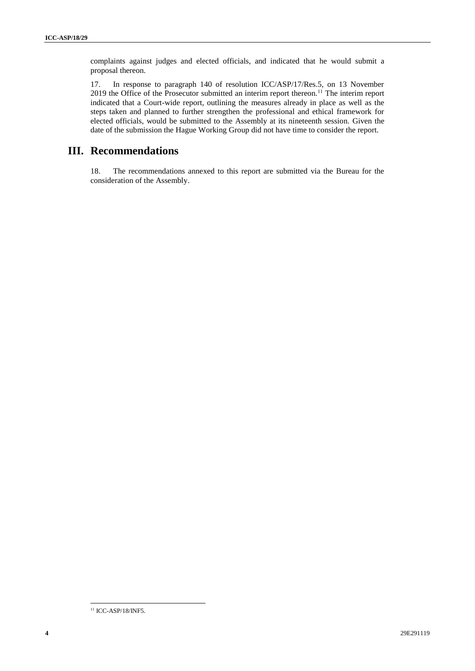complaints against judges and elected officials, and indicated that he would submit a proposal thereon.

17. In response to paragraph 140 of resolution ICC/ASP/17/Res.5, on 13 November 2019 the Office of the Prosecutor submitted an interim report thereon.<sup>11</sup> The interim report indicated that a Court-wide report, outlining the measures already in place as well as the steps taken and planned to further strengthen the professional and ethical framework for elected officials, would be submitted to the Assembly at its nineteenth session. Given the date of the submission the Hague Working Group did not have time to consider the report.

## **III. Recommendations**

18. The recommendations annexed to this report are submitted via the Bureau for the consideration of the Assembly.

 $\overline{a}$ 

<sup>&</sup>lt;sup>11</sup> ICC-ASP/18/INF5.